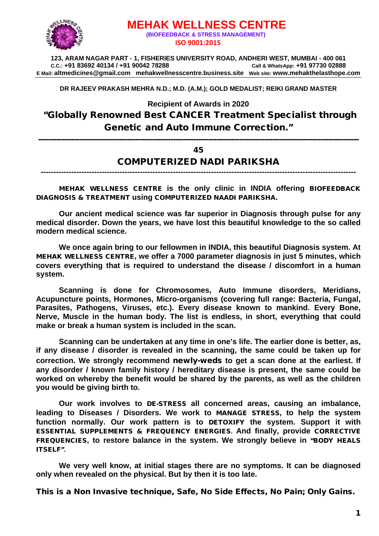

# **MEHAK WELLNESS CENTRE (BIOFEEDBACK & STRESS MANAGEMENT) ISO 9001:2015**

**123, ARAM NAGAR PART - 1, FISHERIES UNIVERSITY ROAD, ANDHERI WEST, MUMBAI - 400 061 C.C.: +91 83692 40134 / +91 90042 78288 Call & WhatsApp: +91 97730 02888 E Mail: [altmedicines@gmail.com](mailto:altmedicines@gmail.com) mehakwellnesscentre.business.site Web site: www.mehakthelasthope.com**

**DR RAJEEV PRAKASH MEHRA N.D.; M.D. (A.M.); GOLD MEDALIST; REIKI GRAND MASTER** 

**Recipient of Awards in 2020**

"Globally Renowned Best CANCER Treatment Specialist through Genetic and Auto Immune Correction."

------------------------------------------------------------------------------------------------------------------------------

#### 45

#### COMPUTERIZED NADI PARIKSHA

**----------------------------------------------------------------------------------------------------------------------------**

MEHAK WELLNESS CENTRE **is the only clinic in INDIA offering** BIOFEEDBACK DIAGNOSIS & TREATMENT **using** COMPUTERIZED NAADI PARIKSHA.

**Our ancient medical science was far superior in Diagnosis through pulse for any medical disorder. Down the years, we have lost this beautiful knowledge to the so called modern medical science.**

**We once again bring to our fellowmen in INDIA, this beautiful Diagnosis system. At**  MEHAK WELLNESS CENTRE**, we offer a 7000 parameter diagnosis in just 5 minutes, which covers everything that is required to understand the disease / discomfort in a human system.**

**Scanning is done for Chromosomes, Auto Immune disorders, Meridians, Acupuncture points, Hormones, Micro-organisms (covering full range: Bacteria, Fungal, Parasites, Pathogens, Viruses, etc.). Every disease known to mankind. Every Bone, Nerve, Muscle in the human body. The list is endless, in short, everything that could make or break a human system is included in the scan.**

**Scanning can be undertaken at any time in one's life. The earlier done is better, as, if any disease / disorder is revealed in the scanning, the same could be taken up for correction. We strongly recommend** newly-weds **to get a scan done at the earliest. If any disorder / known family history / hereditary disease is present, the same could be worked on whereby the benefit would be shared by the parents, as well as the children you would be giving birth to.** 

**Our work involves to** DE-STRESS **all concerned areas, causing an imbalance, leading to Diseases / Disorders. We work to** MANAGE STRESS**, to help the system function normally. Our work pattern is to** DETOXIFY **the system. Support it with**  ESSENTIAL SUPPLEMENTS & FREQUENCY ENERGIES**. And finally, provide** CORRECTIVE FREQUENCIES**, to restore balance in the system. We strongly believe in** "BODY HEALS ITSELF"**.**

**We very well know, at initial stages there are no symptoms. It can be diagnosed only when revealed on the physical. But by then it is too late.**

This is a Non Invasive technique, Safe, No Side Effects, No Pain; Only Gains.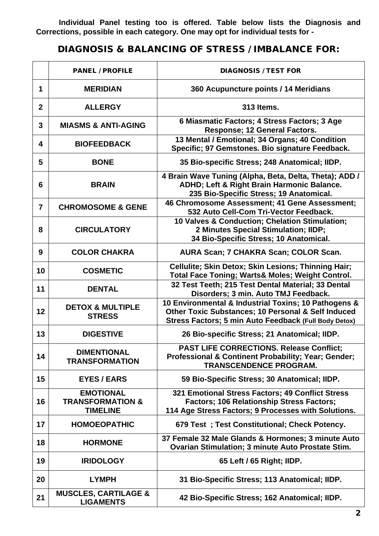**Individual Panel testing too is offered. Table below lists the Diagnosis and Corrections, possible in each category. One may opt for individual tests for -**

# DIAGNOSIS & BALANCING OF STRESS / IMBALANCE FOR:

|                | <b>PANEL / PROFILE</b>                                             | <b>DIAGNOSIS / TEST FOR</b>                                                                                                                                         |
|----------------|--------------------------------------------------------------------|---------------------------------------------------------------------------------------------------------------------------------------------------------------------|
| 1              | <b>MERIDIAN</b>                                                    | 360 Acupuncture points / 14 Meridians                                                                                                                               |
| $\mathbf{2}$   | <b>ALLERGY</b>                                                     | 313 Items.                                                                                                                                                          |
| 3              | <b>MIASMS &amp; ANTI-AGING</b>                                     | 6 Miasmatic Factors; 4 Stress Factors; 3 Age<br>Response; 12 General Factors.                                                                                       |
| 4              | <b>BIOFEEDBACK</b>                                                 | 13 Mental / Emotional; 34 Organs; 40 Condition<br>Specific; 97 Gemstones. Bio signature Feedback.                                                                   |
| 5              | <b>BONE</b>                                                        | 35 Bio-specific Stress; 248 Anatomical; IIDP.                                                                                                                       |
| 6              | <b>BRAIN</b>                                                       | 4 Brain Wave Tuning (Alpha, Beta, Delta, Theta); ADD /<br>ADHD; Left & Right Brain Harmonic Balance.<br>235 Bio-Specific Stress; 19 Anatomical.                     |
| $\overline{7}$ | <b>CHROMOSOME &amp; GENE</b>                                       | 46 Chromosome Assessment; 41 Gene Assessment;<br>532 Auto Cell-Com Tri-Vector Feedback.                                                                             |
| 8              | <b>CIRCULATORY</b>                                                 | 10 Valves & Conduction; Chelation Stimulation;<br>2 Minutes Special Stimulation; IIDP;<br>34 Bio-Specific Stress; 10 Anatomical.                                    |
| 9              | <b>COLOR CHAKRA</b>                                                | AURA Scan; 7 CHAKRA Scan; COLOR Scan.                                                                                                                               |
| 10             | <b>COSMETIC</b>                                                    | Cellulite; Skin Detox; Skin Lesions; Thinning Hair;<br><b>Total Face Toning; Warts&amp; Moles; Weight Control.</b>                                                  |
| 11             | <b>DENTAL</b>                                                      | 32 Test Teeth; 215 Test Dental Material; 33 Dental<br>Disorders; 3 min. Auto TMJ Feedback.                                                                          |
| 12             | <b>DETOX &amp; MULTIPLE</b><br><b>STRESS</b>                       | 10 Environmental & Industrial Toxins; 10 Pathogens &<br>Other Toxic Substances; 10 Personal & Self Induced<br>Stress Factors; 5 min Auto Feedback (Full Body Detox) |
| 13             | <b>DIGESTIVE</b>                                                   | 26 Bio-specific Stress; 21 Anatomical; IIDP.                                                                                                                        |
| 14             | <b>DIMENTIONAL</b><br><b>TRANSFORMATION</b>                        | <b>PAST LIFE CORRECTIONS. Release Conflict;</b><br>Professional & Continent Probability; Year; Gender;<br><b>TRANSCENDENCE PROGRAM.</b>                             |
| 15             | <b>EYES / EARS</b>                                                 | 59 Bio-Specific Stress; 30 Anatomical; IIDP.                                                                                                                        |
| 16             | <b>EMOTIONAL</b><br><b>TRANSFORMATION &amp;</b><br><b>TIMELINE</b> | 321 Emotional Stress Factors; 49 Conflict Stress<br><b>Factors: 106 Relationship Stress Factors:</b><br>114 Age Stress Factors; 9 Processes with Solutions.         |
| 17             | <b>HOMOEOPATHIC</b>                                                | 679 Test ; Test Constitutional; Check Potency.                                                                                                                      |
| 18             | <b>HORMONE</b>                                                     | 37 Female 32 Male Glands & Hormones; 3 minute Auto<br>Ovarian Stimulation; 3 minute Auto Prostate Stim.                                                             |
| 19             | <b>IRIDOLOGY</b>                                                   | 65 Left / 65 Right; IIDP.                                                                                                                                           |
| 20             | <b>LYMPH</b>                                                       | 31 Bio-Specific Stress; 113 Anatomical; IIDP.                                                                                                                       |
| 21             | <b>MUSCLES, CARTILAGE &amp;</b><br><b>LIGAMENTS</b>                | 42 Bio-Specific Stress; 162 Anatomical; IIDP.                                                                                                                       |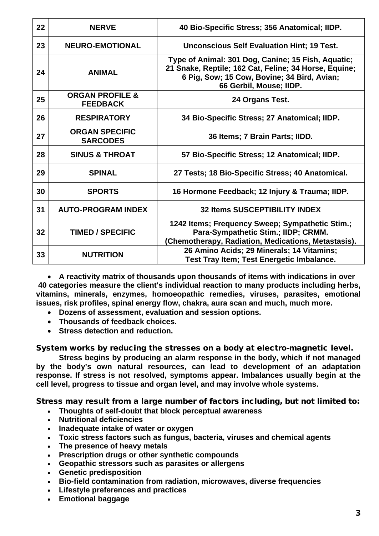| 22 | <b>NERVE</b>                                  | 40 Bio-Specific Stress; 356 Anatomical; IIDP.                                                                                                                                         |
|----|-----------------------------------------------|---------------------------------------------------------------------------------------------------------------------------------------------------------------------------------------|
| 23 | <b>NEURO-EMOTIONAL</b>                        | <b>Unconscious Self Evaluation Hint; 19 Test.</b>                                                                                                                                     |
| 24 | <b>ANIMAL</b>                                 | Type of Animal: 301 Dog, Canine; 15 Fish, Aquatic;<br>21 Snake, Reptile; 162 Cat, Feline; 34 Horse, Equine;<br>6 Pig, Sow; 15 Cow, Bovine; 34 Bird, Avian;<br>66 Gerbil, Mouse; IIDP. |
| 25 | <b>ORGAN PROFILE &amp;</b><br><b>FEEDBACK</b> | 24 Organs Test.                                                                                                                                                                       |
| 26 | <b>RESPIRATORY</b>                            | 34 Bio-Specific Stress; 27 Anatomical; IIDP.                                                                                                                                          |
| 27 | <b>ORGAN SPECIFIC</b><br><b>SARCODES</b>      | 36 Items; 7 Brain Parts; IIDD.                                                                                                                                                        |
| 28 | <b>SINUS &amp; THROAT</b>                     | 57 Bio-Specific Stress; 12 Anatomical; IIDP.                                                                                                                                          |
| 29 | <b>SPINAL</b>                                 | 27 Tests; 18 Bio-Specific Stress; 40 Anatomical.                                                                                                                                      |
| 30 | <b>SPORTS</b>                                 | 16 Hormone Feedback; 12 Injury & Trauma; IIDP.                                                                                                                                        |
| 31 | <b>AUTO-PROGRAM INDEX</b>                     | <b>32 Items SUSCEPTIBILITY INDEX</b>                                                                                                                                                  |
| 32 | <b>TIMED / SPECIFIC</b>                       | 1242 Items; Frequency Sweep; Sympathetic Stim.;<br>Para-Sympathetic Stim.; IIDP; CRMM.<br>(Chemotherapy, Radiation, Medications, Metastasis).                                         |
| 33 | <b>NUTRITION</b>                              | 26 Amino Acids; 29 Minerals; 14 Vitamins;<br><b>Test Tray Item; Test Energetic Imbalance.</b>                                                                                         |

• **A reactivity matrix of thousands upon thousands of items with indications in over 40 categories measure the client's individual reaction to many products including herbs, vitamins, minerals, enzymes, homoeopathic remedies, viruses, parasites, emotional issues, risk profiles, spinal energy flow, chakra, aura scan and much, much more.**

- **Dozens of assessment, evaluation and session options.**
- **Thousands of feedback choices.**
- **Stress detection and reduction.**

System works by reducing the stresses on a body at electro-magnetic level.

**Stress begins by producing an alarm response in the body, which if not managed by the body's own natural resources, can lead to development of an adaptation response. If stress is not resolved, symptoms appear. Imbalances usually begin at the cell level, progress to tissue and organ level, and may involve whole systems.**

Stress may result from a large number of factors including, but not limited to:

- **Thoughts of self-doubt that block perceptual awareness**
- **Nutritional deficiencies**
- **Inadequate intake of water or oxygen**
- **Toxic stress factors such as fungus, bacteria, viruses and chemical agents**
- **The presence of heavy metals**
- **Prescription drugs or other synthetic compounds**
- **Geopathic stressors such as parasites or allergens**
- **Genetic predisposition**
- **Bio-field contamination from radiation, microwaves, diverse frequencies**
- **Lifestyle preferences and practices**
- **Emotional baggage**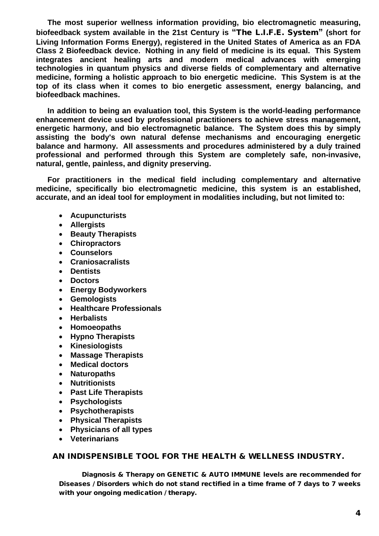**The most superior wellness information providing, bio electromagnetic measuring, biofeedback system available in the 21st Century is "**The L.I.F.E. System**" (short for Living Information Forms Energy), registered in the United States of America as an FDA Class 2 Biofeedback device. Nothing in any field of medicine is its equal. This System integrates ancient healing arts and modern medical advances with emerging technologies in quantum physics and diverse fields of complementary and alternative medicine, forming a holistic approach to bio energetic medicine. This System is at the top of its class when it comes to bio energetic assessment, energy balancing, and biofeedback machines.** 

**In addition to being an evaluation tool, this System is the world-leading performance enhancement device used by professional practitioners to achieve stress management, energetic harmony, and bio electromagnetic balance. The System does this by simply assisting the body's own natural defense mechanisms and encouraging energetic balance and harmony. All assessments and procedures administered by a duly trained professional and performed through this System are completely safe, non-invasive, natural, gentle, painless, and dignity preserving.**

**For practitioners in the medical field including complementary and alternative medicine, specifically bio electromagnetic medicine, this system is an established, accurate, and an ideal tool for employment in modalities including, but not limited to:**

- **Acupuncturists**
- **Allergists**
- **Beauty Therapists**
- **Chiropractors**
- **Counselors**
- **Craniosacralists**
- **Dentists**
- **Doctors**
- **Energy Bodyworkers**
- **Gemologists**
- **Healthcare Professionals**
- **Herbalists**
- **Homoeopaths**
- **Hypno Therapists**
- **Kinesiologists**
- **Massage Therapists**
- **Medical doctors**
- **Naturopaths**
- **Nutritionists**
- **Past Life Therapists**
- **Psychologists**
- **Psychotherapists**
- **Physical Therapists**
- **Physicians of all types**
- **Veterinarians**

#### AN INDISPENSIBLE TOOL FOR THE HEALTH & WELLNESS INDUSTRY.

Diagnosis & Therapy on GENETIC & AUTO IMMUNE levels are recommended for Diseases / Disorders which do not stand rectified in a time frame of 7 days to 7 weeks with your ongoing medication / therapy.